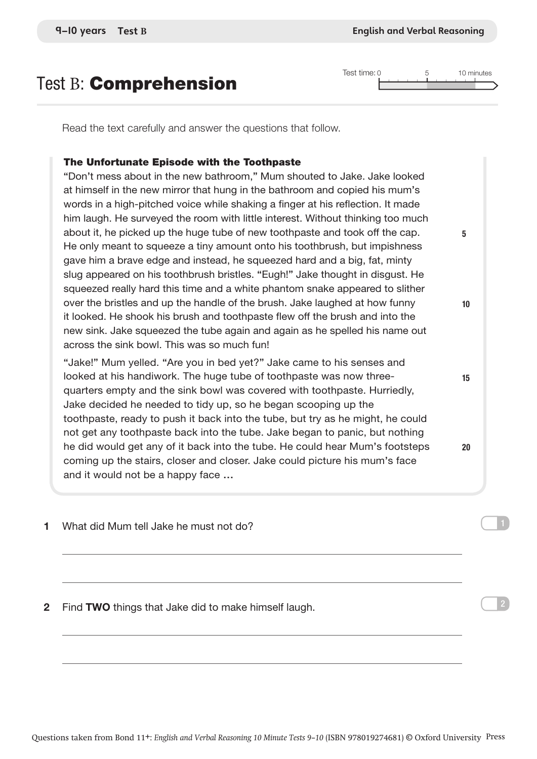Read the text carefully and answer the questions that follow.

## The Unfortunate Episode with the Toothpaste

"Don't mess about in the new bathroom," Mum shouted to Jake. Jake looked at himself in the new mirror that hung in the bathroom and copied his mum's words in a high-pitched voice while shaking a finger at his reflection. It made him laugh. He surveyed the room with little interest. Without thinking too much about it, he picked up the huge tube of new toothpaste and took off the cap. He only meant to squeeze a tiny amount onto his toothbrush, but impishness gave him a brave edge and instead, he squeezed hard and a big, fat, minty slug appeared on his toothbrush bristles. "Eugh!" Jake thought in disgust. He squeezed really hard this time and a white phantom snake appeared to slither over the bristles and up the handle of the brush. Jake laughed at how funny it looked. He shook his brush and toothpaste flew off the brush and into the new sink. Jake squeezed the tube again and again as he spelled his name out across the sink bowl. This was so much fun!

"Jake!" Mum yelled. "Are you in bed yet?" Jake came to his senses and looked at his handiwork. The huge tube of toothpaste was now threequarters empty and the sink bowl was covered with toothpaste. Hurriedly, Jake decided he needed to tidy up, so he began scooping up the toothpaste, ready to push it back into the tube, but try as he might, he could not get any toothpaste back into the tube. Jake began to panic, but nothing he did would get any of it back into the tube. He could hear Mum's footsteps coming up the stairs, closer and closer. Jake could picture his mum's face and it would not be a happy face …

1 What did Mum tell Jake he must not do?

2 Find TWO things that Jake did to make himself laugh.

Test time: 0 5 10 minutes

5

10

15

20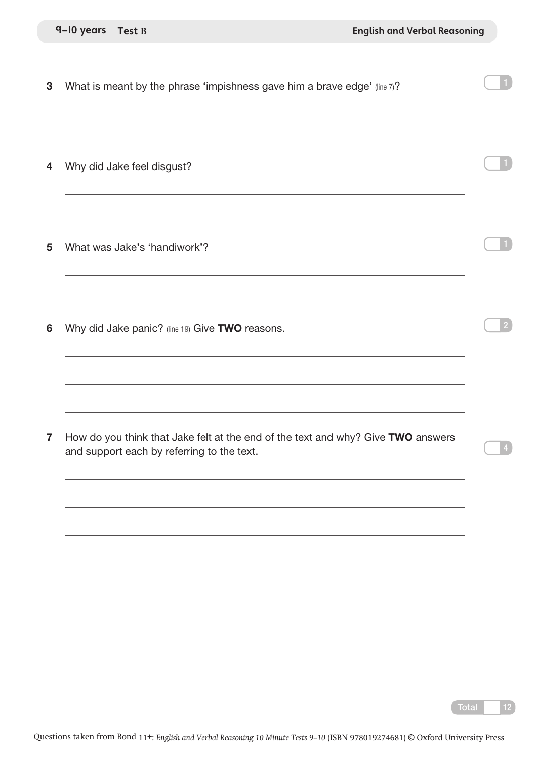|  | 9-10 years | <b>Test B</b> |
|--|------------|---------------|
|--|------------|---------------|

**3** What is meant by the phrase 'impishness gave him a brave edge' (line  $7$ )?

4 Why did Jake feel disgust?

5 What was Jake's 'handiwork'?

6 Why did Jake panic? (line 19) Give TWO reasons.

7 How do you think that Jake felt at the end of the text and why? Give TWO answers and support each by referring to the text.

4